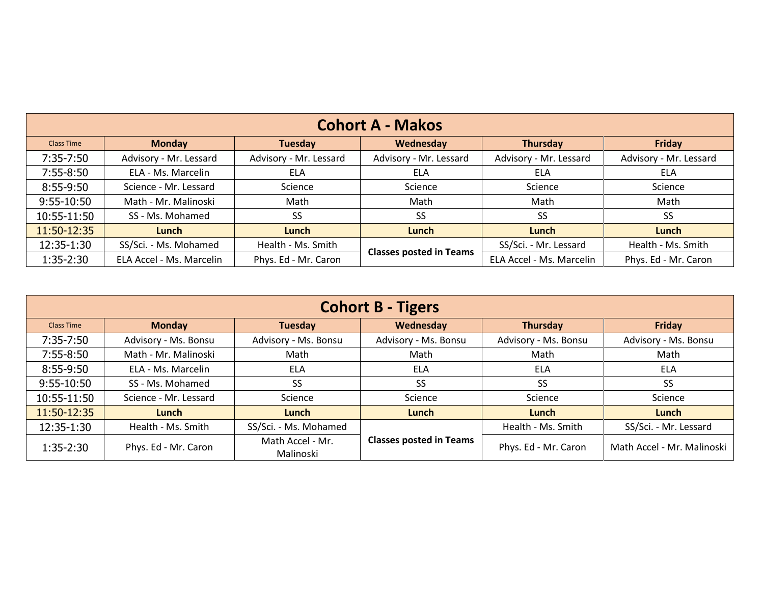| <b>Cohort A - Makos</b> |                          |                        |                                |                          |                        |
|-------------------------|--------------------------|------------------------|--------------------------------|--------------------------|------------------------|
| <b>Class Time</b>       | <b>Monday</b>            | Tuesday                | Wednesday                      | <b>Thursday</b>          | Friday                 |
| 7:35-7:50               | Advisory - Mr. Lessard   | Advisory - Mr. Lessard | Advisory - Mr. Lessard         | Advisory - Mr. Lessard   | Advisory - Mr. Lessard |
| 7:55-8:50               | ELA - Ms. Marcelin       | <b>ELA</b>             | <b>ELA</b>                     | <b>ELA</b>               | ELA                    |
| $8:55-9:50$             | Science - Mr. Lessard    | Science                | Science                        | Science                  | Science                |
| 9:55-10:50              | Math - Mr. Malinoski     | Math                   | Math                           | Math                     | Math                   |
| 10:55-11:50             | SS - Ms. Mohamed         | SS                     | SS.                            | <b>SS</b>                | <b>SS</b>              |
| 11:50-12:35             | Lunch                    | <b>Lunch</b>           | Lunch                          | Lunch                    | Lunch                  |
| 12:35-1:30              | SS/Sci. - Ms. Mohamed    | Health - Ms. Smith     | <b>Classes posted in Teams</b> | SS/Sci. - Mr. Lessard    | Health - Ms. Smith     |
| 1:35-2:30               | ELA Accel - Ms. Marcelin | Phys. Ed - Mr. Caron   |                                | ELA Accel - Ms. Marcelin | Phys. Ed - Mr. Caron   |

| <b>Cohort B - Tigers</b> |                       |                               |                                |                      |                            |
|--------------------------|-----------------------|-------------------------------|--------------------------------|----------------------|----------------------------|
| <b>Class Time</b>        | <b>Monday</b>         | <b>Tuesday</b>                | Wednesday                      | Thursday             | Friday                     |
| 7:35-7:50                | Advisory - Ms. Bonsu  | Advisory - Ms. Bonsu          | Advisory - Ms. Bonsu           | Advisory - Ms. Bonsu | Advisory - Ms. Bonsu       |
| 7:55-8:50                | Math - Mr. Malinoski  | Math                          | Math                           | Math                 | Math                       |
| $8:55-9:50$              | ELA - Ms. Marcelin    | <b>ELA</b>                    | <b>ELA</b>                     | <b>ELA</b>           | <b>ELA</b>                 |
| 9:55-10:50               | SS - Ms. Mohamed      | <b>SS</b>                     | SS                             | <b>SS</b>            | <b>SS</b>                  |
| 10:55-11:50              | Science - Mr. Lessard | Science                       | Science                        | Science              | Science                    |
| 11:50-12:35              | Lunch                 | Lunch                         | Lunch                          | Lunch                | Lunch                      |
| 12:35-1:30               | Health - Ms. Smith    | SS/Sci. - Ms. Mohamed         | <b>Classes posted in Teams</b> | Health - Ms. Smith   | SS/Sci. - Mr. Lessard      |
| 1:35-2:30                | Phys. Ed - Mr. Caron  | Math Accel - Mr.<br>Malinoski |                                | Phys. Ed - Mr. Caron | Math Accel - Mr. Malinoski |